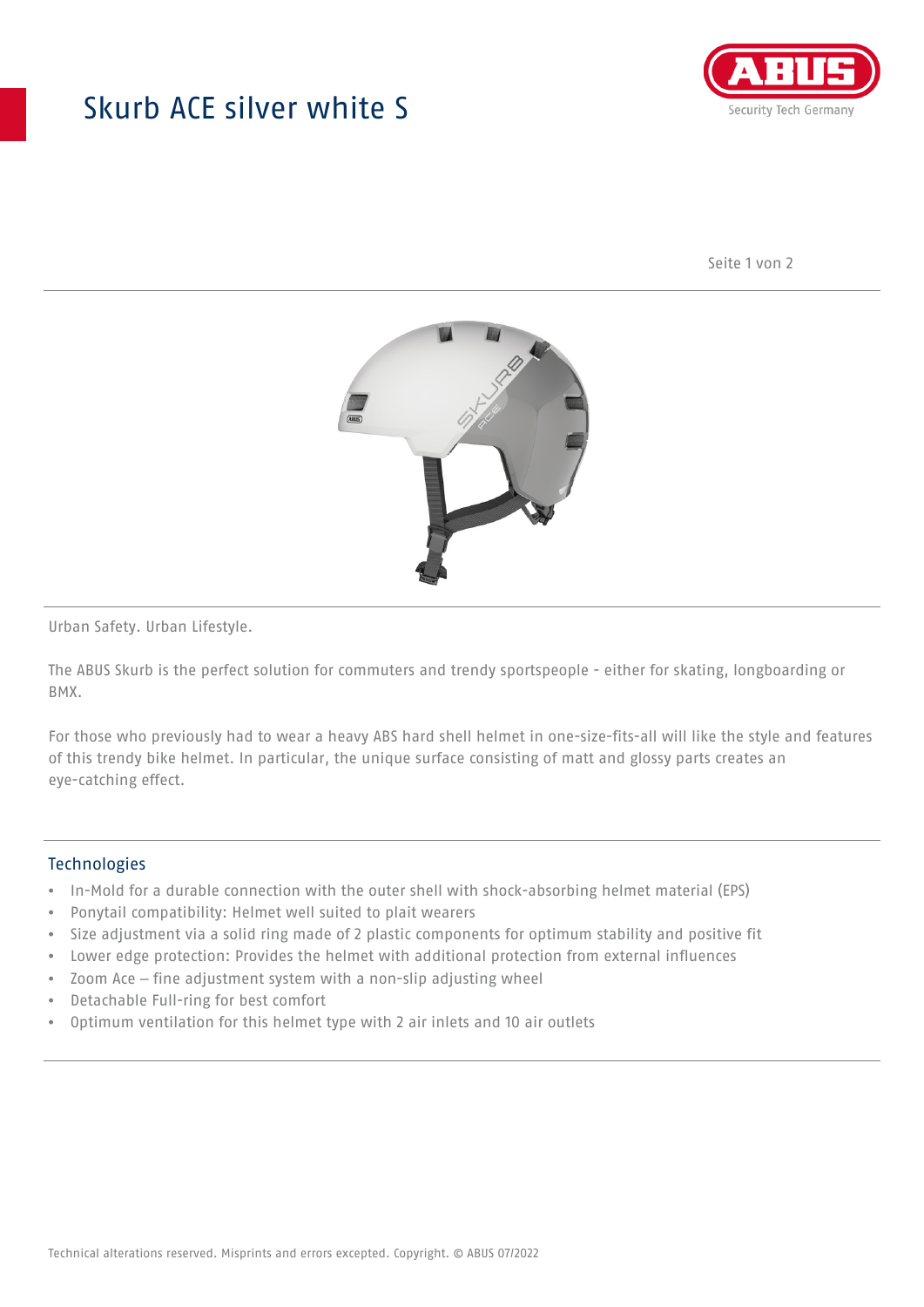## Skurb ACE silver white S



Seite 1 von 2



Urban Safety. Urban Lifestyle.

The ABUS Skurb is the perfect solution for commuters and trendy sportspeople - either for skating, longboarding or BMX.

For those who previously had to wear a heavy ABS hard shell helmet in one-size-fits-all will like the style and features of this trendy bike helmet. In particular, the unique surface consisting of matt and glossy parts creates an eye-catching effect.

## **Technologies**

- In-Mold for a durable connection with the outer shell with shock-absorbing helmet material (EPS)
- Ponytail compatibility: Helmet well suited to plait wearers
- Size adjustment via a solid ring made of 2 plastic components for optimum stability and positive fit
- Lower edge protection: Provides the helmet with additional protection from external influences
- Zoom Ace fine adjustment system with a non-slip adjusting wheel
- Detachable Full-ring for best comfort
- Optimum ventilation for this helmet type with 2 air inlets and 10 air outlets